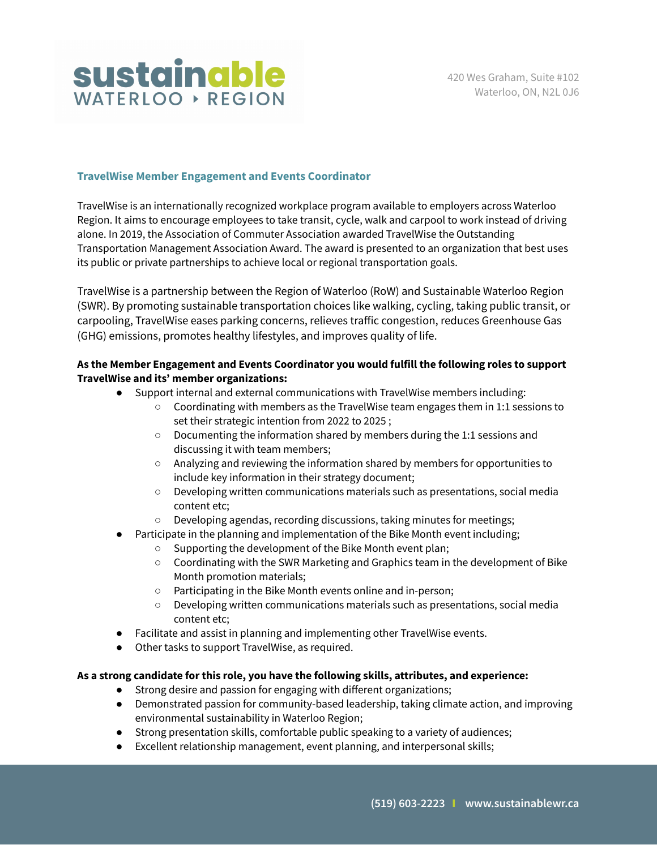

## **TravelWise Member Engagement and Events Coordinator**

TravelWise is an internationally recognized workplace program available to employers across Waterloo Region. It aims to encourage employees to take transit, cycle, walk and carpool to work instead of driving alone. In 2019, the Association of Commuter Association awarded TravelWise the Outstanding Transportation Management Association Award. The award is presented to an organization that best uses its public or private partnerships to achieve local or regional transportation goals.

TravelWise is a partnership between the Region of Waterloo (RoW) and Sustainable Waterloo Region (SWR). By promoting sustainable transportation choices like walking, cycling, taking public transit, or carpooling, TravelWise eases parking concerns, relieves traffic congestion, reduces Greenhouse Gas (GHG) emissions, promotes healthy lifestyles, and improves quality of life.

## **As the Member Engagement and Events Coordinator you would fulfill the following roles to support TravelWise and its' member organizations:**

- Support internal and external communications with TravelWise members including:
	- Coordinating with members as the TravelWise team engages them in 1:1 sessions to set their strategic intention from 2022 to 2025 ;
	- Documenting the information shared by members during the 1:1 sessions and discussing it with team members;
	- Analyzing and reviewing the information shared by members for opportunities to include key information in their strategy document;
	- Developing written communications materials such as presentations, social media content etc;
	- Developing agendas, recording discussions, taking minutes for meetings;
- Participate in the planning and implementation of the Bike Month event including;
	- Supporting the development of the Bike Month event plan;
	- Coordinating with the SWR Marketing and Graphics team in the development of Bike Month promotion materials;
	- Participating in the Bike Month events online and in-person;
	- Developing written communications materials such as presentations, social media content etc;
- Facilitate and assist in planning and implementing other TravelWise events.
- Other tasks to support TravelWise, as required.

## **As a strong candidate for this role, you have the following skills, attributes, and experience:**

- Strong desire and passion for engaging with different organizations;
- Demonstrated passion for community-based leadership, taking climate action, and improving environmental sustainability in Waterloo Region;
- Strong presentation skills, comfortable public speaking to a variety of audiences;
- Excellent relationship management, event planning, and interpersonal skills;